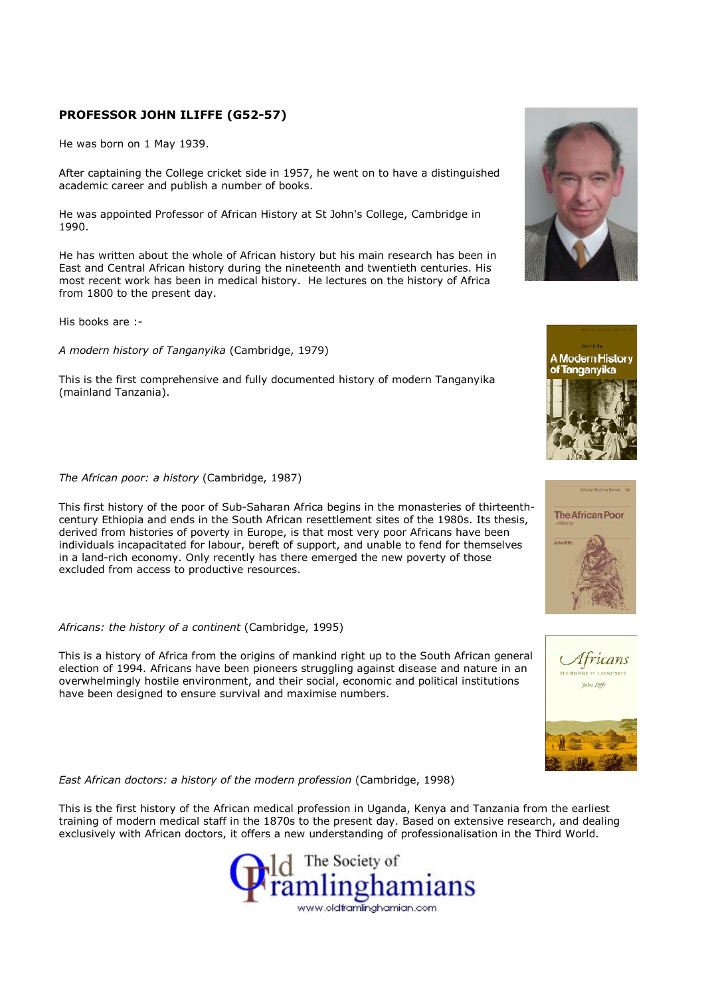## PROFESSOR JOHN ILIFFE (G52-57)

He was born on 1 May 1939.

After captaining the College cricket side in 1957, he went on to have a distinguished academic career and publish a number of books.

He was appointed Professor of African History at St John's College, Cambridge in 1990.

He has written about the whole of African history but his main research has been in East and Central African history during the nineteenth and twentieth centuries. His most recent work has been in medical history. He lectures on the history of Africa from 1800 to the present day.

His books are :-

A modern history of Tanganyika (Cambridge, 1979)

This is the first comprehensive and fully documented history of modern Tanganyika (mainland Tanzania).

## The African poor: a history (Cambridge, 1987)

This first history of the poor of Sub-Saharan Africa begins in the monasteries of thirteenthcentury Ethiopia and ends in the South African resettlement sites of the 1980s. Its thesis, derived from histories of poverty in Europe, is that most very poor Africans have been individuals incapacitated for labour, bereft of support, and unable to fend for themselves in a land-rich economy. Only recently has there emerged the new poverty of those excluded from access to productive resources.

## Africans: the history of a continent (Cambridge, 1995)

This is a history of Africa from the origins of mankind right up to the South African general election of 1994. Africans have been pioneers struggling against disease and nature in an overwhelmingly hostile environment, and their social, economic and political institutions have been designed to ensure survival and maximise numbers.

East African doctors: a history of the modern profession (Cambridge, 1998)

This is the first history of the African medical profession in Uganda, Kenya and Tanzania from the earliest training of modern medical staff in the 1870s to the present day. Based on extensive research, and dealing exclusively with African doctors, it offers a new understanding of professionalisation in the Third World.